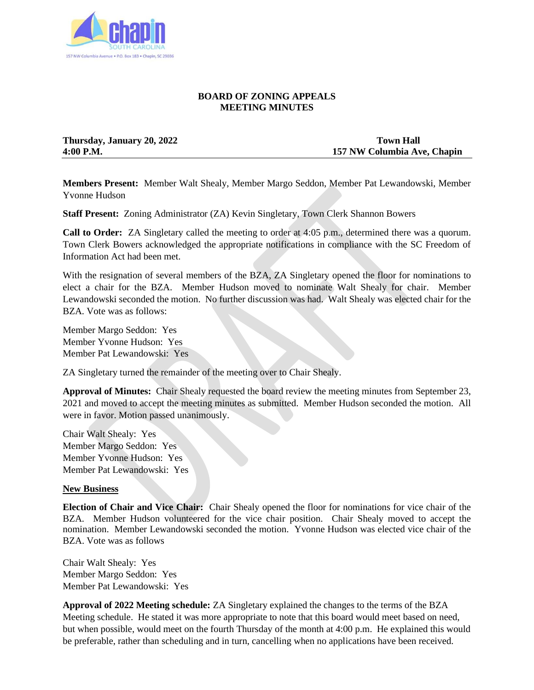

## **BOARD OF ZONING APPEALS MEETING MINUTES**

**Thursday, January 20, 2022** Town Hall

**4:00 P.M. 157 NW Columbia Ave, Chapin**

**Members Present:** Member Walt Shealy, Member Margo Seddon, Member Pat Lewandowski, Member Yvonne Hudson

**Staff Present:** Zoning Administrator (ZA) Kevin Singletary, Town Clerk Shannon Bowers

**Call to Order:** ZA Singletary called the meeting to order at 4:05 p.m., determined there was a quorum. Town Clerk Bowers acknowledged the appropriate notifications in compliance with the SC Freedom of Information Act had been met.

With the resignation of several members of the BZA, ZA Singletary opened the floor for nominations to elect a chair for the BZA. Member Hudson moved to nominate Walt Shealy for chair. Member Lewandowski seconded the motion. No further discussion was had. Walt Shealy was elected chair for the BZA. Vote was as follows:

Member Margo Seddon: Yes Member Yvonne Hudson: Yes Member Pat Lewandowski: Yes

ZA Singletary turned the remainder of the meeting over to Chair Shealy.

**Approval of Minutes:** Chair Shealy requested the board review the meeting minutes from September 23, 2021 and moved to accept the meeting minutes as submitted. Member Hudson seconded the motion. All were in favor. Motion passed unanimously.

Chair Walt Shealy: Yes Member Margo Seddon: Yes Member Yvonne Hudson: Yes Member Pat Lewandowski: Yes

## **New Business**

**Election of Chair and Vice Chair:** Chair Shealy opened the floor for nominations for vice chair of the BZA. Member Hudson volunteered for the vice chair position. Chair Shealy moved to accept the nomination. Member Lewandowski seconded the motion. Yvonne Hudson was elected vice chair of the BZA. Vote was as follows

Chair Walt Shealy: Yes Member Margo Seddon: Yes Member Pat Lewandowski: Yes

**Approval of 2022 Meeting schedule:** ZA Singletary explained the changes to the terms of the BZA Meeting schedule. He stated it was more appropriate to note that this board would meet based on need, but when possible, would meet on the fourth Thursday of the month at 4:00 p.m. He explained this would be preferable, rather than scheduling and in turn, cancelling when no applications have been received.